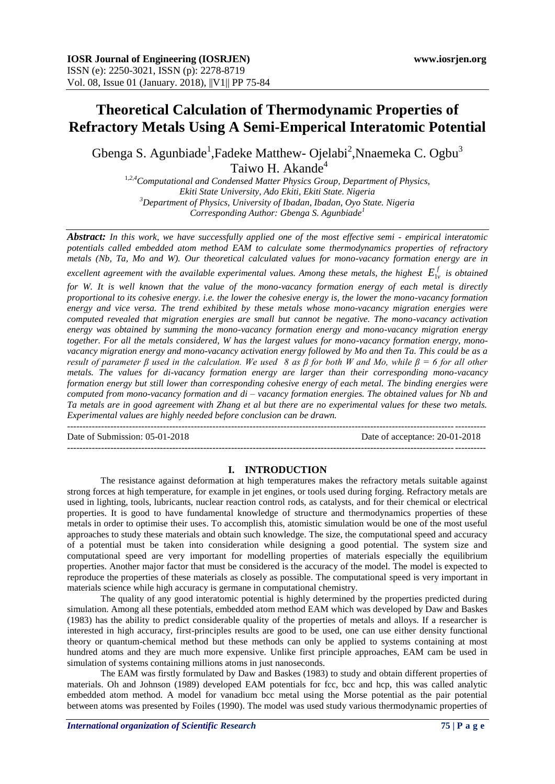# **Theoretical Calculation of Thermodynamic Properties of Refractory Metals Using A Semi-Emperical Interatomic Potential**

Gbenga S. Agunbiade<sup>1</sup>,Fadeke Matthew- Ojelabi<sup>2</sup>,Nnaemeka C. Ogbu<sup>3</sup> Taiwo H. Akande<sup>4</sup>

<sup>1</sup>*,2,4Computational and Condensed Matter Physics Group, Department of Physics, Ekiti State University, Ado Ekiti, Ekiti State. Nigeria <sup>3</sup>Department of Physics, University of Ibadan, Ibadan, Oyo State. Nigeria Corresponding Author: Gbenga S. Agunbiade<sup>4</sup>* 

*Abstract: In this work, we have successfully applied one of the most effective semi - empirical interatomic potentials called embedded atom method EAM to calculate some thermodynamics properties of refractory metals (Nb, Ta, Mo and W). Our theoretical calculated values for mono-vacancy formation energy are in excellent agreement with the available experimental values. Among these metals, the highest*  $E_{1v}^f$  *is obtained* 

*for W. It is well known that the value of the mono-vacancy formation energy of each metal is directly proportional to its cohesive energy. i.e. the lower the cohesive energy is, the lower the mono-vacancy formation energy and vice versa. The trend exhibited by these metals whose mono-vacancy migration energies were computed revealed that migration energies are small but cannot be negative. The mono-vacancy activation energy was obtained by summing the mono-vacancy formation energy and mono-vacancy migration energy together. For all the metals considered, W has the largest values for mono-vacancy formation energy, monovacancy migration energy and mono-vacancy activation energy followed by Mo and then Ta. This could be as a result of parameter β used in the calculation. We used 8 as β for both W and Mo, while β = 6 for all other metals. The values for di-vacancy formation energy are larger than their corresponding mono-vacancy formation energy but still lower than corresponding cohesive energy of each metal. The binding energies were computed from mono-vacancy formation and di – vacancy formation energies. The obtained values for Nb and Ta metals are in good agreement with Zhang et al but there are no experimental values for these two metals. Experimental values are highly needed before conclusion can be drawn.* 

Date of Submission: 05-01-2018 Date of acceptance: 20-01-2018

---------------------------------------------------------------------------------------------------------------------------------------

### **I. INTRODUCTION**

 $-1-\frac{1}{2}$ 

The resistance against deformation at high temperatures makes the refractory metals suitable against strong forces at high temperature, for example in jet engines, or tools used during forging. Refractory metals are used in lighting, tools, lubricants, nuclear reaction control rods, as catalysts, and for their chemical or electrical properties. It is good to have fundamental knowledge of structure and thermodynamics properties of these metals in order to optimise their uses. To accomplish this, atomistic simulation would be one of the most useful approaches to study these materials and obtain such knowledge. The size, the computational speed and accuracy of a potential must be taken into consideration while designing a good potential. The system size and computational speed are very important for modelling properties of materials especially the equilibrium properties. Another major factor that must be considered is the accuracy of the model. The model is expected to reproduce the properties of these materials as closely as possible. The computational speed is very important in materials science while high accuracy is germane in computational chemistry.

The quality of any good interatomic potential is highly determined by the properties predicted during simulation. Among all these potentials, embedded atom method EAM which was developed by Daw and Baskes (1983) has the ability to predict considerable quality of the properties of metals and alloys. If a researcher is interested in high accuracy, first-principles results are good to be used, one can use either density functional theory or quantum-chemical method but these methods can only be applied to systems containing at most hundred atoms and they are much more expensive. Unlike first principle approaches, EAM cam be used in simulation of systems containing millions atoms in just nanoseconds.

The EAM was firstly formulated by Daw and Baskes (1983) to study and obtain different properties of materials. Oh and Johnson (1989) developed EAM potentials for fcc, bcc and hcp, this was called analytic embedded atom method. A model for vanadium bcc metal using the Morse potential as the pair potential between atoms was presented by Foiles (1990). The model was used study various thermodynamic properties of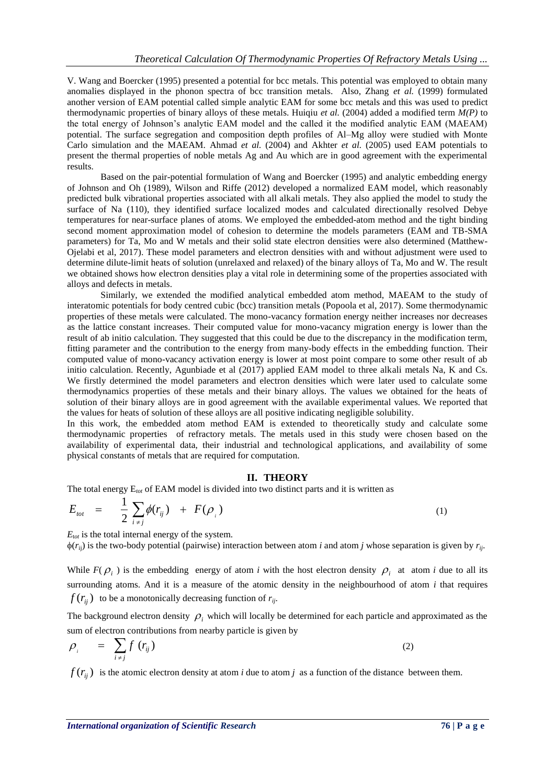V. Wang and Boercker (1995) presented a potential for bcc metals. This potential was employed to obtain many anomalies displayed in the phonon spectra of bcc transition metals. Also, Zhang *et al.* (1999) formulated another version of EAM potential called simple analytic EAM for some bcc metals and this was used to predict thermodynamic properties of binary alloys of these metals. Huiqiu *et al.* (2004) added a modified term *M(P)* to the total energy of Johnson's analytic EAM model and the called it the modified analytic EAM (MAEAM) potential. The surface segregation and composition depth profiles of Al–Mg alloy were studied with Monte Carlo simulation and the MAEAM. Ahmad *et al.* (2004) and Akhter *et al.* (2005) used EAM potentials to present the thermal properties of noble metals Ag and Au which are in good agreement with the experimental results.

Based on the pair-potential formulation of Wang and Boercker (1995) and analytic embedding energy of Johnson and Oh (1989), Wilson and Riffe (2012) developed a normalized EAM model, which reasonably predicted bulk vibrational properties associated with all alkali metals. They also applied the model to study the surface of Na (110), they identified surface localized modes and calculated directionally resolved Debye temperatures for near-surface planes of atoms. We employed the embedded-atom method and the tight binding second moment approximation model of cohesion to determine the models parameters (EAM and TB-SMA parameters) for Ta, Mo and W metals and their solid state electron densities were also determined (Matthew-Ojelabi et al, 2017). These model parameters and electron densities with and without adjustment were used to determine dilute-limit heats of solution (unrelaxed and relaxed) of the binary alloys of Ta, Mo and W. The result we obtained shows how electron densities play a vital role in determining some of the properties associated with alloys and defects in metals.

Similarly, we extended the modified analytical embedded atom method, MAEAM to the study of interatomic potentials for body centred cubic (bcc) transition metals (Popoola et al, 2017). Some thermodynamic properties of these metals were calculated. The mono-vacancy formation energy neither increases nor decreases as the lattice constant increases. Their computed value for mono-vacancy migration energy is lower than the result of ab initio calculation. They suggested that this could be due to the discrepancy in the modification term, fitting parameter and the contribution to the energy from many-body effects in the embedding function. Their computed value of mono-vacancy activation energy is lower at most point compare to some other result of ab initio calculation. Recently, Agunbiade et al (2017) applied EAM model to three alkali metals Na, K and Cs. We firstly determined the model parameters and electron densities which were later used to calculate some thermodynamics properties of these metals and their binary alloys. The values we obtained for the heats of solution of their binary alloys are in good agreement with the available experimental values. We reported that the values for heats of solution of these alloys are all positive indicating negligible solubility.

In this work, the embedded atom method EAM is extended to theoretically study and calculate some thermodynamic properties of refractory metals. The metals used in this study were chosen based on the availability of experimental data, their industrial and technological applications, and availability of some physical constants of metals that are required for computation.

### **II. THEORY**

The total energy E*tot* of EAM model is divided into two distinct parts and it is written as

$$
E_{tot} = \frac{1}{2} \sum_{i \neq j} \phi(r_{ij}) + F(\rho_i)
$$
 (1)

 $E_{\text{tot}}$  is the total internal energy of the system.

 $\phi(r_{ii})$  is the two-body potential (pairwise) interaction between atom *i* and atom *j* whose separation is given by  $r_{ii}$ .

While  $F(\rho_i)$  is the embedding energy of atom *i* with the host electron density  $\rho_i$  at atom *i* due to all its surrounding atoms. And it is a measure of the atomic density in the neighbourhood of atom *i* that requires  $f(r_{ij})$  to be a monotonically decreasing function of  $r_{ij}$ .

The background electron density  $\rho_i$  which will locally be determined for each particle and approximated as the sum of electron contributions from nearby particle is given by

$$
\rho_{i} = \sum_{i \neq j} f(r_{ij}) \tag{2}
$$

 $f(r_{ij})$  is the atomic electron density at atom *i* due to atom *j* as a function of the distance between them.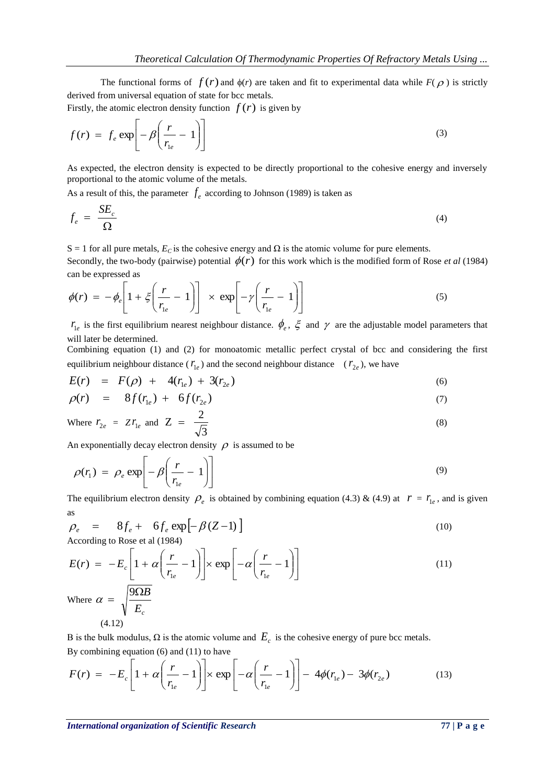The functional forms of  $f(r)$  and  $\phi(r)$  are taken and fit to experimental data while  $F(\rho)$  is strictly derived from universal equation of state for bcc metals.

Firstly, the atomic electron density function  $f(r)$  is given by

$$
f(r) = f_e \exp\left[-\beta \left(\frac{r}{r_{le}} - 1\right)\right]
$$
 (3)

As expected, the electron density is expected to be directly proportional to the cohesive energy and inversely proportional to the atomic volume of the metals.

As a result of this, the parameter  $f_e$  according to Johnson (1989) is taken as

$$
f_e = \frac{SE_c}{\Omega} \tag{4}
$$

S = 1 for all pure metals,  $E_c$  is the cohesive energy and  $\Omega$  is the atomic volume for pure elements.

Secondly, the two-body (pairwise) potential  $\phi(r)$  for this work which is the modified form of Rose *et al* (1984) can be expressed as

$$
\phi(r) = -\phi_e \left[ 1 + \xi \left( \frac{r}{r_{1e}} - 1 \right) \right] \times \exp \left[ -\gamma \left( \frac{r}{r_{1e}} - 1 \right) \right]
$$
\n(5)

 $r_{1e}$  is the first equilibrium nearest neighbour distance.  $\phi_e$ ,  $\xi$  and  $\gamma$  are the adjustable model parameters that will later be determined.

Combining equation (1) and (2) for monoatomic metallic perfect crystal of bcc and considering the first equilibrium neighbour distance ( $r_{1e}$ ) and the second neighbour distance ( $r_{2e}$ ), we have

$$
E(r) = F(\rho) + 4(r_{1e}) + 3(r_{2e}) \tag{6}
$$

$$
\rho(r) = 8f(r_{1e}) + 6f(r_{2e}) \tag{7}
$$

Where 
$$
r_{2e} = Zr_{1e}
$$
 and  $Z = \frac{2}{\sqrt{3}}$  (8)

An exponentially decay electron density  $\rho$  is assumed to be

$$
\rho(r_1) = \rho_e \exp\left[-\beta \left(\frac{r}{r_{1e}} - 1\right)\right]
$$
\n(9)

The equilibrium electron density  $\rho_e$  is obtained by combining equation (4.3) & (4.9) at  $r = r_{1e}$ , and is given as

$$
\rho_e = 8f_e + 6f_e \exp[-\beta(Z-1)]
$$
\nAccording to Rose et al (1984) (10)

$$
E(r) = -E_c \left[ 1 + \alpha \left( \frac{r}{r_{1e}} - 1 \right) \right] \times \exp \left[ -\alpha \left( \frac{r}{r_{1e}} - 1 \right) \right]
$$
  
Where  $\alpha = \sqrt{\frac{9 \Omega B}{E_c}}$ 

$$
(4.12)
$$

B is the bulk modulus,  $\Omega$  is the atomic volume and  $E_c$  is the cohesive energy of pure bcc metals. By combining equation (6) and (11) to have

$$
F(r) = -E_c \left[ 1 + \alpha \left( \frac{r}{r_{1e}} - 1 \right) \right] \times \exp \left[ -\alpha \left( \frac{r}{r_{1e}} - 1 \right) \right] - 4\phi(r_{1e}) - 3\phi(r_{2e}) \tag{13}
$$

(11)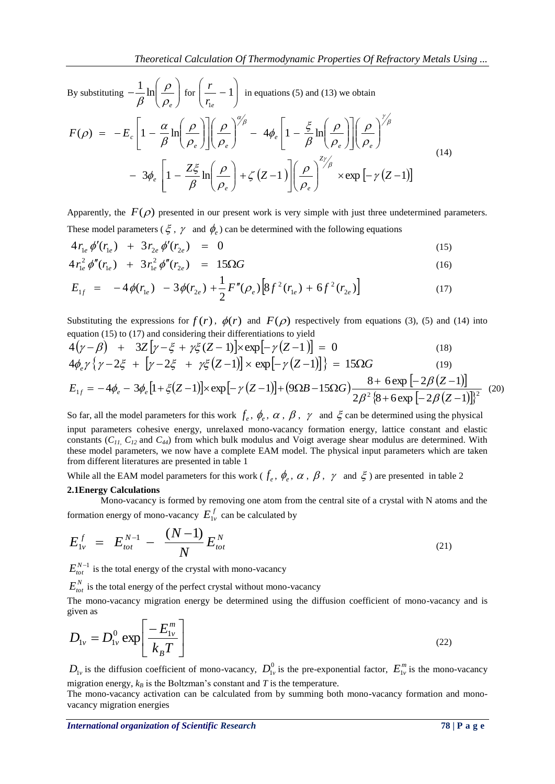By substituting  $-\frac{1}{\beta} \ln \left| \frac{\rho}{\rho} \right|$ J  $\setminus$  $\overline{\phantom{a}}$  $\setminus$ ſ  $\overline{a}$  $\rho_{_\mathit{e}}$  $\rho$  $\beta$  $\frac{1}{\beta} \ln \left( \frac{\rho}{\rho} \right)$  for  $\left( \frac{r}{r} - 1 \right)$ J  $\setminus$  $\overline{\phantom{a}}$  $\setminus$ ſ 1  $r_{1e}$  $\left[\frac{r}{r-1}\right]$  in equations (5) and (13) we obtain  $3\phi_e$   $\left|1-\frac{2\zeta}{\beta}\ln\left|\frac{P}{\beta}\right|+\zeta\left(Z-1\right)\right|\left|\frac{P}{\beta}\right| \times \exp\left[-\gamma\left(Z-1\right)\right]$  $(\rho) = -E_c \left[ 1 - \frac{\alpha}{\beta} \ln \left| \frac{\rho}{\rho} \right| \right] \left| \frac{\rho}{\rho} \right| = 4 \phi_e \left| 1 - \frac{5}{\beta} \ln \left| \frac{\rho}{\rho} \right| \left| \frac{\rho}{\rho} \right|$ J  $\setminus$  $\overline{\phantom{a}}$  $\setminus$ ſ  $\overline{\phantom{a}}$ Ι  $\perp$  $\overline{\phantom{a}}$  $\mathsf{I}$  $\mathsf{I}$ L  $\mathsf{I}$  $\mid +\zeta (Z -$ J  $\setminus$  $\overline{\phantom{a}}$  $\setminus$ ſ  $-3\phi$ ,  $\left|1-\frac{Z\xi}{2}\ln\left(\frac{\rho}{2}\right)+\zeta\left(Z-1\right)\right|\left(\frac{\rho}{2}\right)^{1/\beta}\times\exp\left[-\gamma\left(Z-\frac{Z}{2}\right)\right]$  $\bigg)$  $\setminus$  $\overline{\phantom{a}}$  $\setminus$ ſ I I  $\frac{1}{2}$  $\overline{\phantom{a}}$  $\mathsf{I}$  $\mathbf{r}$ L  $\mathsf{L}$  $\overline{\phantom{a}}$ J  $\setminus$  $\overline{\phantom{a}}$  $\setminus$ ſ  $\Big| - 4\phi_e \Big| 1 -$ J  $\setminus$  $\overline{\phantom{a}}$  $\setminus$ ſ  $\overline{\phantom{a}}$  $\overline{\phantom{a}}$  $\overline{\phantom{a}}$   $\mathsf{I}$  $\mathbf{r}$ L  $\mathsf{L}$  $\overline{\phantom{a}}$ J  $\setminus$  $\overline{\phantom{a}}$  $\setminus$ ſ  $F(\rho) = -E_c |1 -$ *Z e f*  $\vee$  *e f*  $\vee$  *e f*  $\vee$  *e f*  $\vee$  *e*  $\mathbb{P}_e$   $\left[1-\frac{1}{\rho}\ln\right]$   $\left[-\frac{1}{\rho}\right]$  +  $\left\{(\frac{Z-1}{\rho})\right\}$   $\left[-\frac{1}{\rho}\right]$   $\times$  exp $\left[-\frac{\rho}{\rho}\right]$ *e e e e e*  $\mathcal{L}_c \left[ \frac{1-\beta}{\beta} \ln \left( \frac{\rho_e}{\rho_e} \right) \left( \left( \frac{\rho_e}{\rho_e} \right)^{-\frac{1}{2}} \right] \mathcal{L}_e \right]^{-1} = \frac{1}{\beta} \mathcal{L}_c \left[ \frac{\rho_e}{\rho_e} \right] \left( \frac{\rho_e}{\rho_e} \right)$  $\rho$  $\zeta(Z-1)\right\|\frac{\rho}{\rho}$  $\rho$  $\rho$  $_{\beta}$  $3\phi_e$   $1-\frac{Z\xi}{2}$  $\rho$  $\rho$  $\rho$  $_{\beta}$  $|\phi_e|1-\frac{\xi}{2}$  $\rho$  $\rho$  $\rho$  $\rho$  $_{\beta}$  $\rho$ ) =  $-E_c \left| 1 - \frac{\alpha}{2} \right|$ .γ<br>|<br>|  $\alpha'_{\beta}$   $\qquad \qquad$   $\qquad$   $\qquad$   $\qquad$   $\qquad$   $\qquad$   $\qquad$   $\qquad$   $\qquad$   $\qquad$   $\qquad$   $\qquad$   $\qquad$   $\qquad$   $\qquad$   $\qquad$   $\qquad$   $\qquad$   $\qquad$   $\qquad$   $\qquad$   $\qquad$   $\qquad$   $\qquad$   $\qquad$   $\qquad$   $\qquad$   $\qquad$   $\qquad$   $\qquad$   $\qquad$   $\qquad$   $\qquad$   $\qquad$   $\qquad$  $(14)$ 

Apparently, the  $F(\rho)$  presented in our present work is very simple with just three undetermined parameters. These model parameters ( $\xi$ ,  $\gamma$  and  $\phi_e$ ) can be determined with the following equations

$$
4 r_{1e} \phi'(r_{1e}) + 3 r_{2e} \phi'(r_{2e}) = 0 \tag{15}
$$

$$
4 r_{1e}^2 \phi''(r_{1e}) + 3 r_{1e}^2 \phi''(r_{2e}) = 15 \Omega G \tag{16}
$$

$$
E_{1f} = -4\phi(r_{1e}) - 3\phi(r_{2e}) + \frac{1}{2}F''(\rho_e)\left[8f^2(r_{1e}) + 6f^2(r_{2e})\right]
$$
 (17)

Substituting the expressions for  $f(r)$ ,  $\phi(r)$  and  $F(\rho)$  respectively from equations (3), (5) and (14) into equation (15) to (17) and considering their differentiations to yield

$$
4(\gamma - \beta) + 3Z[\gamma - \xi + \gamma \xi (Z - 1)] \times \exp[-\gamma (Z - 1)] = 0
$$
\n(18)

$$
4\phi_e \gamma \{ \gamma - 2\xi + [\gamma - 2\xi + \gamma \xi (Z - 1)] \times \exp[-\gamma (Z - 1)] \} = 15\Omega G \tag{19}
$$

$$
E_{1f} = -4\phi_e - 3\phi_e \left[1 + \xi(Z-1)\right] \times \exp\left[-\gamma(Z-1)\right] + (9\Omega B - 15\Omega G) \frac{8 + 6\exp\left[-2\beta(Z-1)\right]}{2\beta^2 \left\{8 + 6\exp\left[-2\beta(Z-1)\right]\right\}^2} (20)
$$

So far, all the model parameters for this work  $f_e$ ,  $\phi_e$ ,  $\alpha$ ,  $\beta$ ,  $\gamma$  and  $\xi$  can be determined using the physical input parameters cohesive energy, unrelaxed mono-vacancy formation energy, lattice constant and elastic constants (*C11*, *C12* and *C44*) from which bulk modulus and Voigt average shear modulus are determined. With these model parameters, we now have a complete EAM model. The physical input parameters which are taken from different literatures are presented in table 1

While all the EAM model parameters for this work ( $f_e$ ,  $\phi_e$ ,  $\alpha$ ,  $\beta$ ,  $\gamma$  and  $\xi$ ) are presented in table 2

### **2.1Energy Calculations**

Mono-vacancy is formed by removing one atom from the central site of a crystal with N atoms and the formation energy of mono-vacancy  $E_{1v}^f$  can be calculated by

$$
E_{1v}^f = E_{tot}^{N-1} - \frac{(N-1)}{N} E_{tot}^N
$$
\n(21)

 $E_{tot}^{N-1}$  is the total energy of the crystal with mono-vacancy

 $E_{tot}^N$  is the total energy of the perfect crystal without mono-vacancy

The mono-vacancy migration energy be determined using the diffusion coefficient of mono-vacancy and is given as

$$
D_{1v} = D_{1v}^0 \exp\left[\frac{-E_{1v}^m}{k_B T}\right]
$$
 (22)

 $D_{1v}$  is the diffusion coefficient of mono-vacancy,  $D_{1v}^0$  is the pre-exponential factor,  $E_{1v}^m$  is the mono-vacancy migration energy,  $k_B$  is the Boltzman's constant and *T* is the temperature.

The mono-vacancy activation can be calculated from by summing both mono-vacancy formation and monovacancy migration energies

*International organization of Scientific Research* 78 | P a g e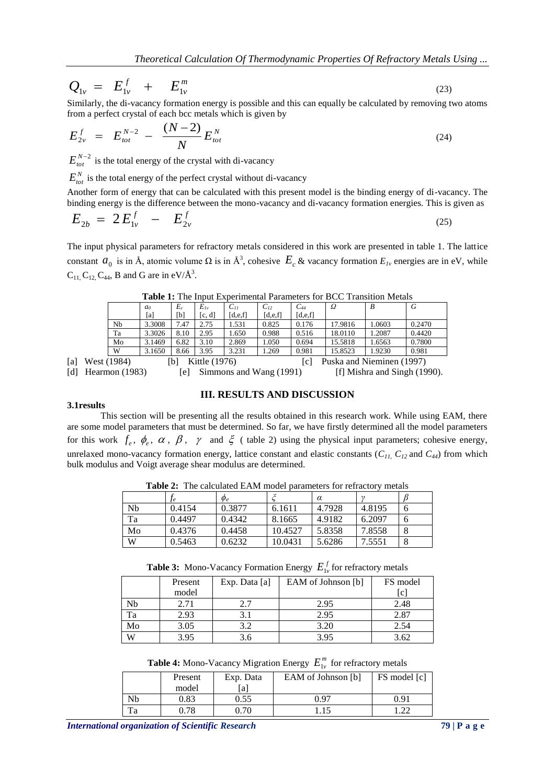$$
Q_{1v} = E_{1v}^f + E_{1v}^m \tag{23}
$$

Similarly, the di-vacancy formation energy is possible and this can equally be calculated by removing two atoms from a perfect crystal of each bcc metals which is given by

$$
E_{2v}^f = E_{tot}^{N-2} - \frac{(N-2)}{N} E_{tot}^N
$$
 (24)

 $E_{tot}^{N-2}$  is the total energy of the crystal with di-vacancy

 $E_{tot}^N$  is the total energy of the perfect crystal without di-vacancy

Another form of energy that can be calculated with this present model is the binding energy of di-vacancy. The binding energy is the difference between the mono-vacancy and di-vacancy formation energies. This is given as

$$
E_{2b} = 2E_{1v}^f - E_{2v}^f \tag{25}
$$

The input physical parameters for refractory metals considered in this work are presented in table 1. The lattice constant  $a_0$  is in Å, atomic volume  $\Omega$  is in Å<sup>3</sup>, cohesive  $E_c$  & vacancy formation  $E_{Iv}$  energies are in eV, while  $C_{11}$ ,  $C_{12}$ ,  $C_{44}$ , B and G are in eV/ $\AA^3$ .

|     |                  | $\blacksquare$ |                |                         |               |          |                              |          |         |                           |        |
|-----|------------------|----------------|----------------|-------------------------|---------------|----------|------------------------------|----------|---------|---------------------------|--------|
|     |                  |                | a <sub>0</sub> | $E_c$                   | $E_{Iv}$      | $C_{11}$ | $C_{12}$                     | $C_{44}$ | Ω       | B                         | G      |
|     |                  |                | [a]            | [b]                     | [c, d]        | [d,e,f]  | [d,e,f]                      | [d,e,f]  |         |                           |        |
|     |                  | Nb             | 3.3008         | 7.47                    | 2.75          | 1.531    | 0.825                        | 0.176    | 17.9816 | 1.0603                    | 0.2470 |
|     |                  | Ta             | 3.3026         | 8.10                    | 2.95          | 1.650    | 0.988                        | 0.516    | 18.0110 | 1.2087                    | 0.4420 |
|     |                  | Mo             | 3.1469         | 6.82                    | 3.10          | 2.869    | 1.050                        | 0.694    | 15.5818 | 1.6563                    | 0.7800 |
|     |                  | W              | 3.1650         | 8.66                    | 3.95          | 3.231    | 1.269                        | 0.981    | 15.8523 | 1.9230                    | 0.981  |
| [a] |                  | West (1984)    |                | [b]                     | Kittle (1976) |          |                              | l c l    |         | Puska and Nieminen (1997) |        |
| [d] | Hearmon $(1983)$ |                | le l           | Simmons and Wang (1991) |               |          | [f] Mishra and Singh (1990). |          |         |                           |        |

**Table 1:** The Input Experimental Parameters for BCC Transition Metals

### **3.1results**

This section will be presenting all the results obtained in this research work. While using EAM, there are some model parameters that must be determined. So far, we have firstly determined all the model parameters for this work  $f_e$ ,  $\phi_e$ ,  $\alpha$ ,  $\beta$ ,  $\gamma$  and  $\xi$  (table 2) using the physical input parameters; cohesive energy, unrelaxed mono-vacancy formation energy, lattice constant and elastic constants  $(C_{11}, C_{12}$  and  $C_{44}$ ) from which bulk modulus and Voigt average shear modulus are determined.

**III. RESULTS AND DISCUSSION**

| <b>Table 2.</b> The calculated Emily model balanciers for reflactory metals |        |             |         |          |        |  |
|-----------------------------------------------------------------------------|--------|-------------|---------|----------|--------|--|
|                                                                             |        | $\varphi_e$ |         | $\alpha$ |        |  |
| Nb                                                                          | 0.4154 | 0.3877      | 6.1611  | 4.7928   | 4.8195 |  |
| Ta                                                                          | 0.4497 | 0.4342      | 8.1665  | 4.9182   | 6.2097 |  |
| Mo                                                                          | 0.4376 | 0.4458      | 10.4527 | 5.8358   | 7.8558 |  |
| W                                                                           | 0.5463 | 0.6232      | 10.0431 | 5.6286   | 7.5551 |  |

**Table 2:** The calculated EAM model parameters for refractory metals

**Table 3:** Mono-Vacancy Formation Energy  $E_{1v}^f$  for refractory metals

|    | Present | Exp. Data [a] | EAM of Johnson [b] | FS model |
|----|---------|---------------|--------------------|----------|
|    | model   |               |                    | lc       |
| Nb | 2.71    | 2.7           | 2.95               | 2.48     |
| Ta | 2.93    |               | 2.95               | 2.87     |
| Mo | 3.05    | 3.2           | 3.20               | 2.54     |
| W  | 3.95    | 3.6           | 3.95               | 3.62     |

**Table 4:** Mono-Vacancy Migration Energy  $E_{1v}^{m}$  for refractory metals

|    | Present | Exp. Data | EAM of Johnson [b] | FS model [c] |
|----|---------|-----------|--------------------|--------------|
|    | model   | a         |                    |              |
| Nb | 0.83    | 0.55      | 0.97               | 0.91         |
| Ta | 0.78    | 0.70      |                    | ാറ<br>$-44$  |

*International organization of Scientific Research* **79 | P a g e**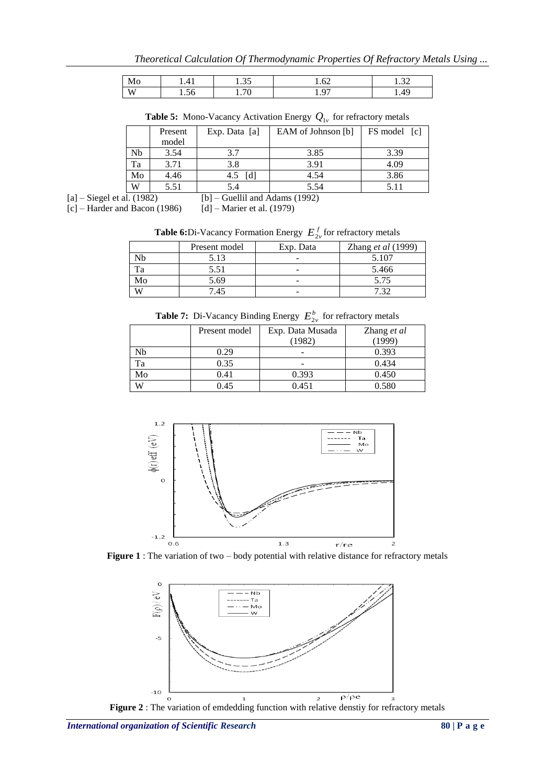*Theoretical Calculation Of Thermodynamic Properties Of Refractory Metals Using ...*

| MO         | ∸<br>. . |   | --<br>∽<br>1.04         | $\sim$<br>. |
|------------|----------|---|-------------------------|-------------|
| $- -$<br>W | 1.JU     | . | $\sim$<br>∼<br>$\cdots$ | .49         |

**Table 5:** Mono-Vacancy Activation Energy  $Q_{1v}$  for refractory metals

|                              |    | Present | Exp. Data [a]                    | EAM of Johnson [b] | FS model<br>$\lceil c \rceil$ |
|------------------------------|----|---------|----------------------------------|--------------------|-------------------------------|
|                              |    | model   |                                  |                    |                               |
|                              | Nb | 3.54    | 3.7                              | 3.85               | 3.39                          |
|                              | Ta | 3.71    | 3.8                              | 3.91               | 4.09                          |
|                              | Mo | 4.46    | [d]<br>4.5                       | 4.54               | 3.86                          |
|                              | W  | 5.51    | 5.4                              | 5.54               | 5.11                          |
| $[a]$ – Siegel et al. (1982) |    |         | $[b]$ – Guellil and Adams (1992) |                    |                               |

 $[c]$  – Harder and Bacon (1986) [d] – Marier et al. (1979)

**Table 6:**Di-Vacancy Formation Energy  $E_{2v}^f$  for refractory metals

|    | Present model | Exp. Data | Zhang et al (1999) |
|----|---------------|-----------|--------------------|
|    |               | -         | 5.107              |
|    | 5.51          |           | 5.466              |
| Mo | 5.69          |           | 5.75               |
| W) | 7.45          | -         |                    |

**Table 7:** Di-Vacancy Binding Energy  $E_{2v}^b$  for refractory metals

|    | Present model | Exp. Data Musada<br>(1982) | Zhang et al<br>1999 |
|----|---------------|----------------------------|---------------------|
| Nb | 0.29          |                            | 0.393               |
| Ta | 0.35          | -                          | 0.434               |
| Mo | 0.41          | 0.393                      | 0.450               |
| W  | 0.45          | 0.451                      | 0.580               |



Figure 1 : The variation of two – body potential with relative distance for refractory metals



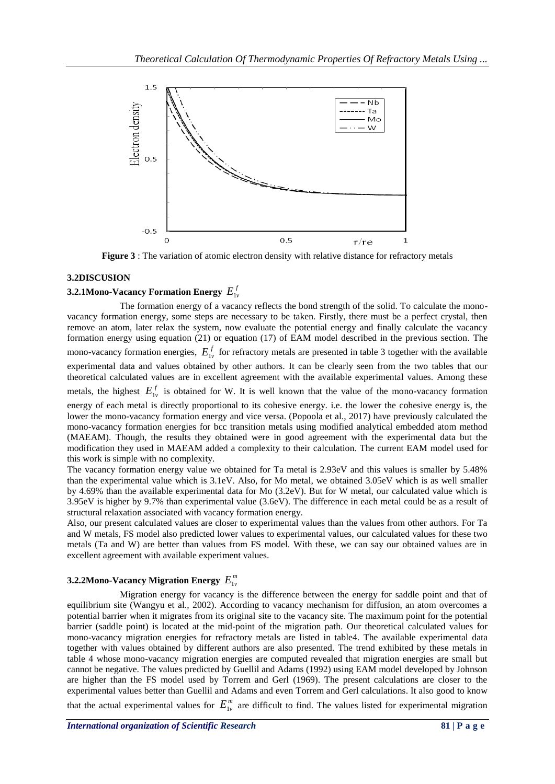

**Figure 3** : The variation of atomic electron density with relative distance for refractory metals

### **3.2DISCUSION**

## **3.2.1Mono-Vacancy Formation Energy**  $E_{1v}^f$

The formation energy of a vacancy reflects the bond strength of the solid. To calculate the monovacancy formation energy, some steps are necessary to be taken. Firstly, there must be a perfect crystal, then remove an atom, later relax the system, now evaluate the potential energy and finally calculate the vacancy formation energy using equation (21) or equation (17) of EAM model described in the previous section. The mono-vacancy formation energies,  $E_{1v}^f$  for refractory metals are presented in table 3 together with the available experimental data and values obtained by other authors. It can be clearly seen from the two tables that our theoretical calculated values are in excellent agreement with the available experimental values. Among these metals, the highest  $E_{1v}^f$  is obtained for W. It is well known that the value of the mono-vacancy formation energy of each metal is directly proportional to its cohesive energy. i.e. the lower the cohesive energy is, the lower the mono-vacancy formation energy and vice versa. (Popoola et al., 2017) have previously calculated the mono-vacancy formation energies for bcc transition metals using modified analytical embedded atom method (MAEAM). Though, the results they obtained were in good agreement with the experimental data but the modification they used in MAEAM added a complexity to their calculation. The current EAM model used for this work is simple with no complexity.

The vacancy formation energy value we obtained for Ta metal is 2.93eV and this values is smaller by 5.48% than the experimental value which is 3.1eV. Also, for Mo metal, we obtained 3.05eV which is as well smaller by 4.69% than the available experimental data for Mo (3.2eV). But for W metal, our calculated value which is 3.95eV is higher by 9.7% than experimental value (3.6eV). The difference in each metal could be as a result of structural relaxation associated with vacancy formation energy.

Also, our present calculated values are closer to experimental values than the values from other authors. For Ta and W metals, FS model also predicted lower values to experimental values, our calculated values for these two metals (Ta and W) are better than values from FS model. With these, we can say our obtained values are in excellent agreement with available experiment values.

## **3.2.2Mono-Vacancy Migration Energy**  $E^{\textit{m}}_{1 \nu}$

Migration energy for vacancy is the difference between the energy for saddle point and that of equilibrium site (Wangyu et al., 2002). According to vacancy mechanism for diffusion, an atom overcomes a potential barrier when it migrates from its original site to the vacancy site. The maximum point for the potential barrier (saddle point) is located at the mid-point of the migration path. Our theoretical calculated values for mono-vacancy migration energies for refractory metals are listed in table4. The available experimental data together with values obtained by different authors are also presented. The trend exhibited by these metals in table 4 whose mono-vacancy migration energies are computed revealed that migration energies are small but cannot be negative. The values predicted by Guellil and Adams (1992) using EAM model developed by Johnson are higher than the FS model used by Torrem and Gerl (1969). The present calculations are closer to the experimental values better than Guellil and Adams and even Torrem and Gerl calculations. It also good to know that the actual experimental values for  $E_{1v}^{m}$  are difficult to find. The values listed for experimental migration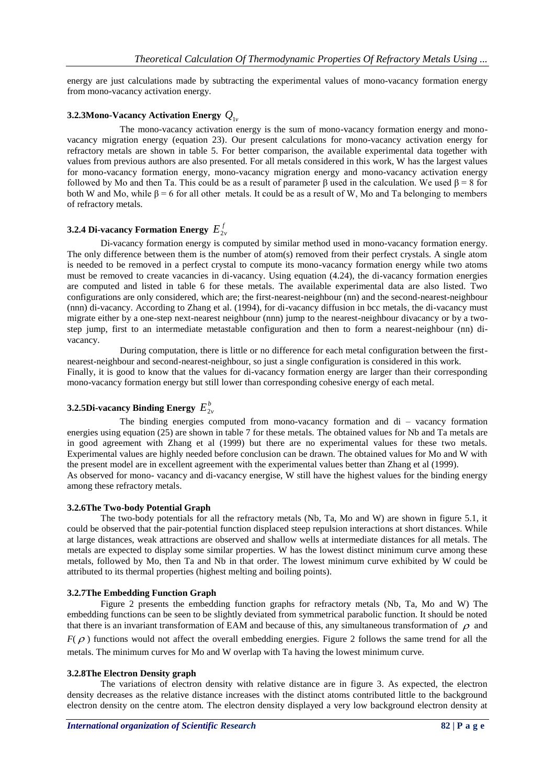energy are just calculations made by subtracting the experimental values of mono-vacancy formation energy from mono-vacancy activation energy.

### **3.2.3Mono-Vacancy Activation Energy**  *Q*1*<sup>v</sup>*

The mono-vacancy activation energy is the sum of mono-vacancy formation energy and monovacancy migration energy (equation 23). Our present calculations for mono-vacancy activation energy for refractory metals are shown in table 5. For better comparison, the available experimental data together with values from previous authors are also presented. For all metals considered in this work, W has the largest values for mono-vacancy formation energy, mono-vacancy migration energy and mono-vacancy activation energy followed by Mo and then Ta. This could be as a result of parameter β used in the calculation. We used β = 8 for both W and Mo, while  $\beta = 6$  for all other metals. It could be as a result of W, Mo and Ta belonging to members of refractory metals.

## **3.2.4 Di-vacancy Formation Energy**  $E_{2v}^f$

Di-vacancy formation energy is computed by similar method used in mono-vacancy formation energy. The only difference between them is the number of atom(s) removed from their perfect crystals. A single atom is needed to be removed in a perfect crystal to compute its mono-vacancy formation energy while two atoms must be removed to create vacancies in di-vacancy. Using equation (4.24), the di-vacancy formation energies are computed and listed in table 6 for these metals. The available experimental data are also listed. Two configurations are only considered, which are; the first-nearest-neighbour (nn) and the second-nearest-neighbour (nnn) di-vacancy. According to Zhang et al. (1994), for di-vacancy diffusion in bcc metals, the di-vacancy must migrate either by a one-step next-nearest neighbour (nnn) jump to the nearest-neighbour divacancy or by a twostep jump, first to an intermediate metastable configuration and then to form a nearest-neighbour (nn) divacancy.

During computation, there is little or no difference for each metal configuration between the firstnearest-neighbour and second-nearest-neighbour, so just a single configuration is considered in this work. Finally, it is good to know that the values for di-vacancy formation energy are larger than their corresponding mono-vacancy formation energy but still lower than corresponding cohesive energy of each metal.

## **3.2.5Di-vacancy Binding Energy**  $E_{2v}^b$

The binding energies computed from mono-vacancy formation and di – vacancy formation energies using equation (25) are shown in table 7 for these metals. The obtained values for Nb and Ta metals are in good agreement with Zhang et al (1999) but there are no experimental values for these two metals. Experimental values are highly needed before conclusion can be drawn. The obtained values for Mo and W with the present model are in excellent agreement with the experimental values better than Zhang et al (1999). As observed for mono- vacancy and di-vacancy energise, W still have the highest values for the binding energy among these refractory metals.

### **3.2.6The Two-body Potential Graph**

The two-body potentials for all the refractory metals (Nb, Ta, Mo and W) are shown in figure 5.1, it could be observed that the pair-potential function displaced steep repulsion interactions at short distances. While at large distances, weak attractions are observed and shallow wells at intermediate distances for all metals. The metals are expected to display some similar properties. W has the lowest distinct minimum curve among these metals, followed by Mo, then Ta and Nb in that order. The lowest minimum curve exhibited by W could be attributed to its thermal properties (highest melting and boiling points).

### **3.2.7The Embedding Function Graph**

Figure 2 presents the embedding function graphs for refractory metals (Nb, Ta, Mo and W) The embedding functions can be seen to be slightly deviated from symmetrical parabolic function. It should be noted that there is an invariant transformation of EAM and because of this, any simultaneous transformation of  $\rho$  and  $F(\rho)$  functions would not affect the overall embedding energies. Figure 2 follows the same trend for all the metals. The minimum curves for Mo and W overlap with Ta having the lowest minimum curve.

### **3.2.8The Electron Density graph**

The variations of electron density with relative distance are in figure 3. As expected, the electron density decreases as the relative distance increases with the distinct atoms contributed little to the background electron density on the centre atom. The electron density displayed a very low background electron density at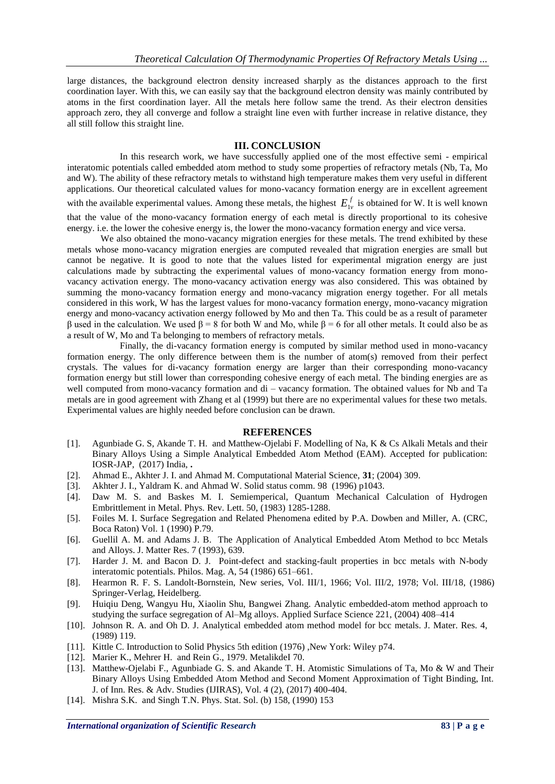large distances, the background electron density increased sharply as the distances approach to the first coordination layer. With this, we can easily say that the background electron density was mainly contributed by atoms in the first coordination layer. All the metals here follow same the trend. As their electron densities approach zero, they all converge and follow a straight line even with further increase in relative distance, they all still follow this straight line.

### **III. CONCLUSION**

In this research work, we have successfully applied one of the most effective semi - empirical interatomic potentials called embedded atom method to study some properties of refractory metals (Nb, Ta, Mo and W). The ability of these refractory metals to withstand high temperature makes them very useful in different applications. Our theoretical calculated values for mono-vacancy formation energy are in excellent agreement with the available experimental values. Among these metals, the highest  $E_{1v}^f$  is obtained for W. It is well known that the value of the mono-vacancy formation energy of each metal is directly proportional to its cohesive energy. i.e. the lower the cohesive energy is, the lower the mono-vacancy formation energy and vice versa.

We also obtained the mono-vacancy migration energies for these metals. The trend exhibited by these metals whose mono-vacancy migration energies are computed revealed that migration energies are small but cannot be negative. It is good to note that the values listed for experimental migration energy are just calculations made by subtracting the experimental values of mono-vacancy formation energy from monovacancy activation energy. The mono-vacancy activation energy was also considered. This was obtained by summing the mono-vacancy formation energy and mono-vacancy migration energy together. For all metals considered in this work, W has the largest values for mono-vacancy formation energy, mono-vacancy migration energy and mono-vacancy activation energy followed by Mo and then Ta. This could be as a result of parameter β used in the calculation. We used β = 8 for both W and Mo, while β = 6 for all other metals. It could also be as a result of W, Mo and Ta belonging to members of refractory metals.

Finally, the di-vacancy formation energy is computed by similar method used in mono-vacancy formation energy. The only difference between them is the number of atom(s) removed from their perfect crystals. The values for di-vacancy formation energy are larger than their corresponding mono-vacancy formation energy but still lower than corresponding cohesive energy of each metal. The binding energies are as well computed from mono-vacancy formation and di – vacancy formation. The obtained values for Nb and Ta metals are in good agreement with Zhang et al (1999) but there are no experimental values for these two metals. Experimental values are highly needed before conclusion can be drawn.

### **REFERENCES**

- [1]. Agunbiade G. S, Akande T. H. and Matthew-Ojelabi F. Modelling of Na, K & Cs Alkali Metals and their Binary Alloys Using a Simple Analytical Embedded Atom Method (EAM). Accepted for publication: IOSR-JAP, (2017) India, **.**
- [2]. Ahmad E., Akhter J. I. and Ahmad M. Computational Material Science, **31**; (2004) 309.
- [3]. Akhter J. I., Yaldram K. and Ahmad W. Solid status comm. 98 (1996) p1043.
- [4]. Daw M. S. and Baskes M. I. Semiemperical, Quantum Mechanical Calculation of Hydrogen Embrittlement in Metal. Phys. Rev. Lett. 50, (1983) 1285-1288.
- [5]. Foiles M. I. Surface Segregation and Related Phenomena edited by P.A. Dowben and Miller, A. (CRC, Boca Raton) Vol. 1 (1990) P.79.
- [6]. Guellil A. M. and Adams J. B. The Application of Analytical Embedded Atom Method to bcc Metals and Alloys. J. Matter Res. 7 (1993), 639.
- [7]. Harder J. M. and Bacon D. J. Point-defect and stacking-fault properties in bcc metals with N-body interatomic potentials. Philos. Mag. A, 54 (1986) 651–661.
- [8]. Hearmon R. F. S. Landolt-Bornstein, New series, Vol. III/1, 1966; Vol. III/2, 1978; Vol. III/18, (1986) Springer-Verlag, Heidelberg.
- [9]. Huiqiu Deng, Wangyu Hu, Xiaolin Shu, Bangwei Zhang. Analytic embedded-atom method approach to studying the surface segregation of Al–Mg alloys. Applied Surface Science 221, (2004) 408–414
- [10]. Johnson R. A. and Oh D. J. Analytical embedded atom method model for bcc metals. J. Mater. Res. 4, (1989) 119.
- [11]. Kittle C. Introduction to Solid Physics 5th edition (1976) ,New York: Wiley p74.
- [12]. Marier K., Mehrer H. and Rein G., 1979. Metalikdel 70.
- [13]. Matthew-Ojelabi F., Agunbiade G. S. and Akande T. H. Atomistic Simulations of Ta, Mo & W and Their Binary Alloys Using Embedded Atom Method and Second Moment Approximation of Tight Binding, Int. J. of Inn. Res. & Adv. Studies (IJIRAS), Vol. 4 (2), (2017) 400-404.
- [14]. Mishra S.K. and Singh T.N. Phys. Stat. Sol. (b) 158, (1990) 153